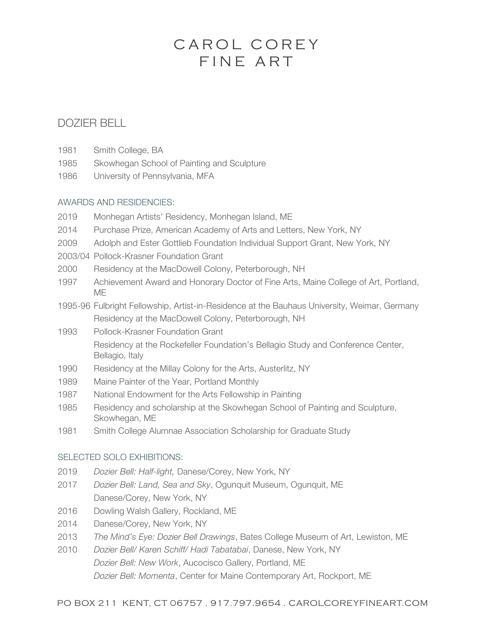# FINE ART CAROL COREY

# DOZIER BELL

- 1981 Smith College, BA
- 1985 Skowhegan School of Painting and Sculpture
- 1986 University of Pennsylvania, MFA

#### AWARDS AND RESIDENCIES:

- 2019 Monhegan Artists' Residency, Monhegan Island, ME
- 2014 Purchase Prize, American Academy of Arts and Letters, New York, NY
- 2009 Adolph and Ester Gottlieb Foundation Individual Support Grant, New York, NY
- 2003/04 Pollock-Krasner Foundation Grant
- 2000 Residency at the MacDowell Colony, Peterborough, NH
- 1997 Achievement Award and Honorary Doctor of Fine Arts, Maine College of Art, Portland, ME
- 1995-96 Fulbright Fellowship, Artist-in-Residence at the Bauhaus University, Weimar, Germany Residency at the MacDowell Colony, Peterborough, NH
- 1993 Pollock-Krasner Foundation Grant Residency at the Rockefeller Foundation's Bellagio Study and Conference Center, Bellagio, Italy
- 1990 Residency at the Millay Colony for the Arts, Austerlitz, NY
- 1989 Maine Painter of the Year, Portland Monthly
- 1987 National Endowment for the Arts Fellowship in Painting
- 1985 Residency and scholarship at the Skowhegan School of Painting and Sculpture, Skowhegan, ME
- 1981 Smith College Alumnae Association Scholarship for Graduate Study

# SELECTED SOLO EXHIBITIONS:

- 2019 *Dozier Bell: Half-light,* Danese/Corey, New York, NY
- 2017 *Dozier Bell: Land, Sea and Sky*, Ogunquit Museum, Ogunquit, ME Danese/Corey, New York, NY
- 2016 Dowling Walsh Gallery, Rockland, ME
- 2014 Danese/Corey, New York, NY
- 2013 *The Mind's Eye: Dozier Bell Drawings*, Bates College Museum of Art, Lewiston, ME
- 2010 *Dozier Bell/ Karen Schiff/ Hadi Tabatabai*, Danese, New York, NY *Dozier Bell: New Work*, Aucocisco Gallery, Portland, ME *Dozier Bell: Momenta*, Center for Maine Contemporary Art, Rockport, ME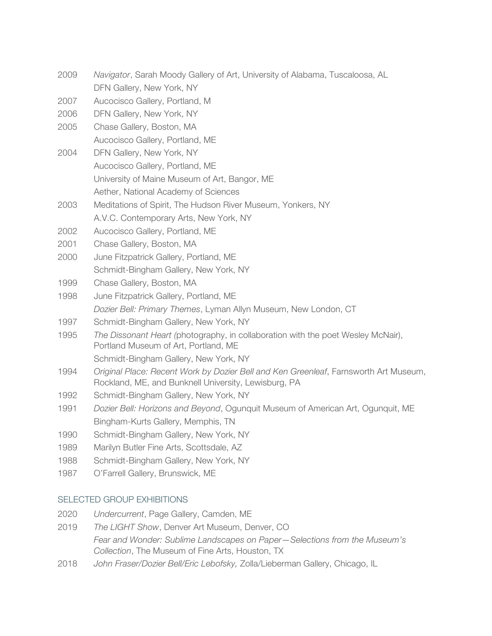- 2009 *Navigator*, Sarah Moody Gallery of Art, University of Alabama, Tuscaloosa, AL DFN Gallery, New York, NY
- 2007 Aucocisco Gallery, Portland, M
- 2006 DFN Gallery, New York, NY
- 2005 Chase Gallery, Boston, MA Aucocisco Gallery, Portland, ME
- 2004 DFN Gallery, New York, NY Aucocisco Gallery, Portland, ME University of Maine Museum of Art, Bangor, ME Aether, National Academy of Sciences
- 2003 Meditations of Spirit, The Hudson River Museum, Yonkers, NY A.V.C. Contemporary Arts, New York, NY
- 2002 Aucocisco Gallery, Portland, ME
- 2001 Chase Gallery, Boston, MA
- 2000 June Fitzpatrick Gallery, Portland, ME Schmidt-Bingham Gallery, New York, NY
- 1999 Chase Gallery, Boston, MA
- 1998 June Fitzpatrick Gallery, Portland, ME *Dozier Bell: Primary Themes*, Lyman Allyn Museum, New London, CT
- 1997 Schmidt-Bingham Gallery, New York, NY
- 1995 *The Dissonant Heart (*photography, in collaboration with the poet Wesley McNair), Portland Museum of Art, Portland, ME

Schmidt-Bingham Gallery, New York, NY

- 1994 *Original Place: Recent Work by Dozier Bell and Ken Greenleaf*, Farnsworth Art Museum, Rockland, ME, and Bunknell University, Lewisburg, PA
- 1992 Schmidt-Bingham Gallery, New York, NY
- 1991 *Dozier Bell: Horizons and Beyond*, Ogunquit Museum of American Art, Ogunquit, ME Bingham-Kurts Gallery, Memphis, TN
- 1990 Schmidt-Bingham Gallery, New York, NY
- 1989 Marilyn Butler Fine Arts, Scottsdale, AZ
- 1988 Schmidt-Bingham Gallery, New York, NY
- 1987 O'Farrell Gallery, Brunswick, ME

# SELECTED GROUP EXHIBITIONS

- 2020 *Undercurrent*, Page Gallery, Camden, ME
- 2019 *The LIGHT Show*, Denver Art Museum, Denver, CO *Fear and Wonder: Sublime Landscapes on Paper—Selections from the Museum's Collection*, The Museum of Fine Arts, Houston, TX
- 2018 *John Fraser/Dozier Bell/Eric Lebofsky,* Zolla/Lieberman Gallery, Chicago, IL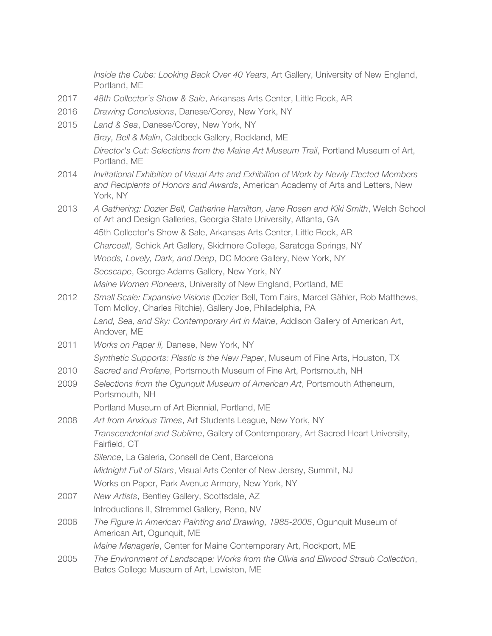*Inside the Cube: Looking Back Over 40 Years*, Art Gallery, University of New England, Portland, ME

- 2017 *48th Collector's Show & Sale*, Arkansas Arts Center, Little Rock, AR
- 2016 *Drawing Conclusions*, Danese/Corey, New York, NY
- 2015 *Land & Sea*, Danese/Corey, New York, NY *Bray, Bell & Malin*, Caldbeck Gallery, Rockland, ME *Director's Cut: Selections from the Maine Art Museum Trail*, Portland Museum of Art, Portland, ME 2014 *Invitational Exhibition of Visual Arts and Exhibition of Work by Newly Elected Members and Recipients of Honors and Awards*, American Academy of Arts and Letters, New York, NY 2013 *A Gathering: Dozier Bell, Catherine Hamilton, Jane Rosen and Kiki Smith*, Welch School of Art and Design Galleries, Georgia State University, Atlanta, GA 45th Collector's Show & Sale, Arkansas Arts Center, Little Rock, AR *Charcoal!,* Schick Art Gallery, Skidmore College, Saratoga Springs, NY *Woods, Lovely, Dark, and Deep*, DC Moore Gallery, New York, NY *Seescape*, George Adams Gallery, New York, NY *Maine Women Pioneers*, University of New England, Portland, ME 2012 *Small Scale: Expansive Visions* (Dozier Bell, Tom Fairs, Marcel Gähler, Rob Matthews, Tom Molloy, Charles Ritchie), Gallery Joe, Philadelphia, PA *Land, Sea, and Sky: Contemporary Art in Maine*, Addison Gallery of American Art, Andover, ME 2011 *Works on Paper II,* Danese, New York, NY *Synthetic Supports: Plastic is the New Paper*, Museum of Fine Arts, Houston, TX 2010 *Sacred and Profane*, Portsmouth Museum of Fine Art, Portsmouth, NH 2009 *Selections from the Ogunquit Museum of American Art*, Portsmouth Atheneum, Portsmouth, NH Portland Museum of Art Biennial, Portland, ME 2008 *Art from Anxious Times*, Art Students League, New York, NY *Transcendental and Sublime*, Gallery of Contemporary, Art Sacred Heart University, Fairfield, CT *Silence*, La Galeria, Consell de Cent, Barcelona *Midnight Full of Stars*, Visual Arts Center of New Jersey, Summit, NJ Works on Paper, Park Avenue Armory, New York, NY
- 2007 *New Artists*, Bentley Gallery, Scottsdale, AZ Introductions II, Stremmel Gallery, Reno, NV
- 2006 *The Figure in American Painting and Drawing, 1985-2005*, Ogunquit Museum of American Art, Ogunquit, ME

*Maine Menagerie*, Center for Maine Contemporary Art, Rockport, ME

2005 *The Environment of Landscape: Works from the Olivia and Ellwood Straub Collection*, Bates College Museum of Art, Lewiston, ME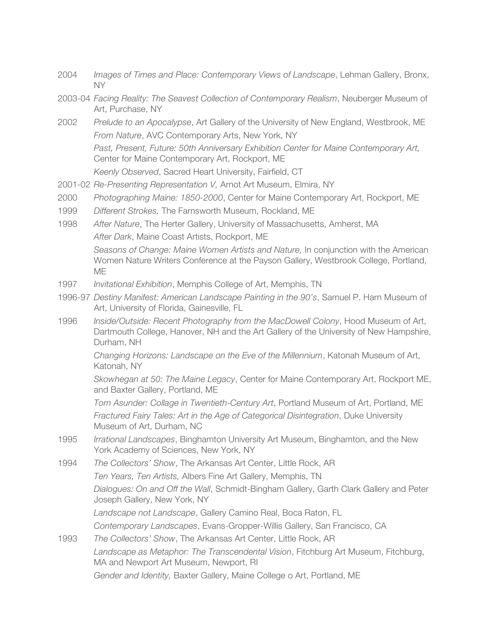- 2004 *Images of Times and Place: Contemporary Views of Landscape*, Lehman Gallery, Bronx, NY
- 2003-04 *Facing Reality: The Seavest Collection of Contemporary Realism*, Neuberger Museum of Art, Purchase, NY
- 2002 *Prelude to an Apocalypse*, Art Gallery of the University of New England, Westbrook, ME *From Nature*, AVC Contemporary Arts, New York, NY *Past, Present, Future: 50th Anniversary Exhibition Center for Maine Contemporary Art,* Center for Maine Contemporary Art, Rockport, ME *Keenly Observed*, Sacred Heart University, Fairfield, CT
- 2001-02 *Re-Presenting Representation V,* Arnot Art Museum, Elmira, NY
- 2000 *Photographing Maine: 1850-2000*, Center for Maine Contemporary Art, Rockport, ME
- 1999 *Different Strokes,* The Farnsworth Museum, Rockland, ME
- 1998 *After Nature*, The Herter Gallery, University of Massachusetts, Amherst, MA *After Dark*, Maine Coast Artists, Rockport, ME *Seasons of Change: Maine Women Artists and Nature,* In conjunction with the American Women Nature Writers Conference at the Payson Gallery, Westbrook College, Portland, ME
- 1997 *Invitational Exhibition*, Memphis College of Art, Memphis, TN
- 1996-97 *Destiny Manifest: American Landscape Painting in the 90's*, Samuel P. Harn Museum of Art, University of Florida, Gainesville, FL
- 1996 *Inside/Outside: Recent Photography from the MacDowell Colony*, Hood Museum of Art, Dartmouth College, Hanover, NH and the Art Gallery of the University of New Hampshire, Durham, NH

*Changing Horizons: Landscape on the Eve of the Millennium*, Katonah Museum of Art, Katonah, NY

*Skowhegan at 50: The Maine Legacy*, Center for Maine Contemporary Art, Rockport ME, and Baxter Gallery, Portland, ME

*Torn Asunder: Collage in Twentieth-Century Art*, Portland Museum of Art, Portland, ME *Fractured Fairy Tales: Art in the Age of Categorical Disintegration*, Duke University Museum of Art, Durham, NC

- 1995 *Irrational Landscapes*, Binghamton University Art Museum, Binghamton, and the New York Academy of Sciences, New York, NY
- 1994 *The Collectors' Show*, The Arkansas Art Center, Little Rock, AR

*Ten Years, Ten Artists,* Albers Fine Art Gallery, Memphis, TN *Dialogues: On and Off the Wall*, Schmidt-Bingham Gallery, Garth Clark Gallery and Peter Joseph Gallery, New York, NY

*Landscape not Landscape*, Gallery Camino Real, Boca Raton, FL

*Contemporary Landscapes*, Evans-Gropper-Willis Gallery, San Francisco, CA

1993 *The Collectors' Show*, The Arkansas Art Center, Little Rock, AR *Landscape as Metaphor: The Transcendental Vision*, Fitchburg Art Museum, Fitchburg, MA and Newport Art Museum, Newport, RI *Gender and Identity,* Baxter Gallery, Maine College o Art, Portland, ME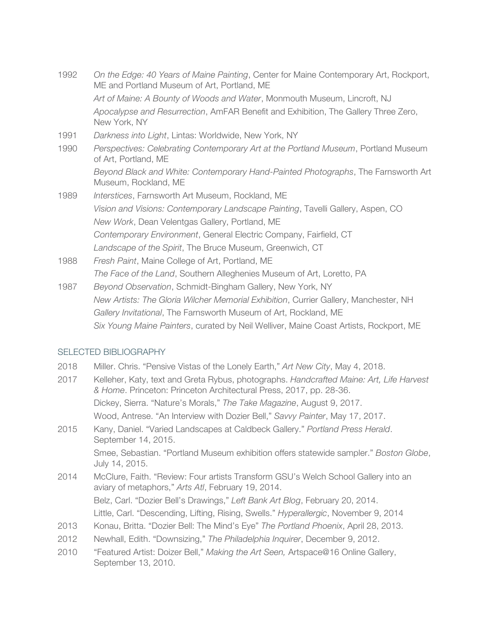- 1992 *On the Edge: 40 Years of Maine Painting*, Center for Maine Contemporary Art, Rockport, ME and Portland Museum of Art, Portland, ME *Art of Maine: A Bounty of Woods and Water*, Monmouth Museum, Lincroft, NJ *Apocalypse and Resurrection*, AmFAR Benefit and Exhibition, The Gallery Three Zero, New York, NY
- 1991 *Darkness into Light*, Lintas: Worldwide, New York, NY
- 1990 *Perspectives: Celebrating Contemporary Art at the Portland Museum*, Portland Museum of Art, Portland, ME *Beyond Black and White: Contemporary Hand-Painted Photographs*, The Farnsworth Art Museum, Rockland, ME
- 1989 *Interstices*, Farnsworth Art Museum, Rockland, ME *Vision and Visions: Contemporary Landscape Painting*, Tavelli Gallery, Aspen, CO *New Work*, Dean Velentgas Gallery, Portland, ME *Contemporary Environment*, General Electric Company, Fairfield, CT *Landscape of the Spirit*, The Bruce Museum, Greenwich, CT
- 1988 *Fresh Paint*, Maine College of Art, Portland, ME *The Face of the Land*, Southern Alleghenies Museum of Art, Loretto, PA
- 1987 *Beyond Observation*, Schmidt-Bingham Gallery, New York, NY *New Artists: The Gloria Wilcher Memorial Exhibition*, Currier Gallery, Manchester, NH *Gallery Invitational*, The Farnsworth Museum of Art, Rockland, ME *Six Young Maine Painters*, curated by Neil Welliver, Maine Coast Artists, Rockport, ME

# SELECTED BIBLIOGRAPHY

- 2018 Miller. Chris. "Pensive Vistas of the Lonely Earth," *Art New City*, May 4, 2018.
- 2017 Kelleher, Katy, text and Greta Rybus, photographs. *Handcrafted Maine: Art, Life Harvest & Home*. Princeton: Princeton Architectural Press, 2017, pp. 28-36. Dickey, Sierra. "Nature's Morals," *The Take Magazine*, August 9, 2017. Wood, Antrese. "An Interview with Dozier Bell," *Savvy Painter*, May 17, 2017.
- 2015 Kany, Daniel. "Varied Landscapes at Caldbeck Gallery." *Portland Press Herald*. September 14, 2015. Smee, Sebastian. "Portland Museum exhibition offers statewide sampler." *Boston Globe*,

July 14, 2015. 2014 McClure, Faith. "Review: Four artists Transform GSU's Welch School Gallery into an

- aviary of metaphors," *Arts Atl*, February 19, 2014. Belz, Carl. "Dozier Bell's Drawings," *Left Bank Art Blog*, February 20, 2014. Little, Carl. "Descending, Lifting, Rising, Swells." *Hyperallergic*, November 9, 2014
- 2013 Konau, Britta. "Dozier Bell: The Mind's Eye" *The Portland Phoenix*, April 28, 2013.
- 2012 Newhall, Edith. "Downsizing," *The Philadelphia Inquirer*, December 9, 2012.
- 2010 "Featured Artist: Doizer Bell," *Making the Art Seen,* Artspace@16 Online Gallery, September 13, 2010.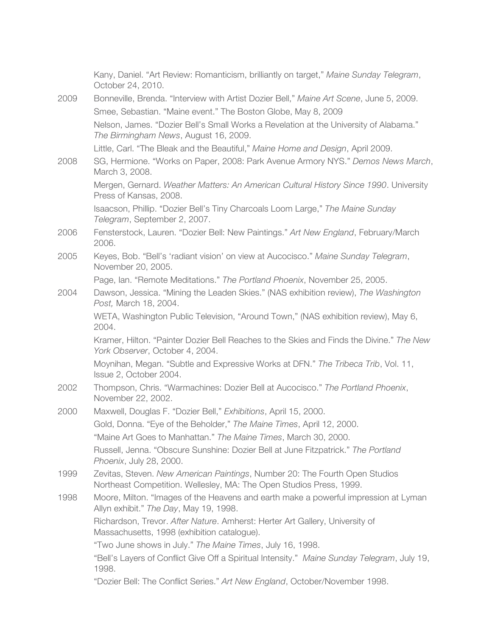|      | Kany, Daniel. "Art Review: Romanticism, brilliantly on target," Maine Sunday Telegram,<br>October 24, 2010.                                        |
|------|----------------------------------------------------------------------------------------------------------------------------------------------------|
| 2009 | Bonneville, Brenda. "Interview with Artist Dozier Bell," Maine Art Scene, June 5, 2009.                                                            |
|      | Smee, Sebastian. "Maine event." The Boston Globe, May 8, 2009                                                                                      |
|      | Nelson, James. "Dozier Bell's Small Works a Revelation at the University of Alabama."<br>The Birmingham News, August 16, 2009.                     |
|      | Little, Carl. "The Bleak and the Beautiful," Maine Home and Design, April 2009.                                                                    |
| 2008 | SG, Hermione. "Works on Paper, 2008: Park Avenue Armory NYS." Demos News March,<br>March 3, 2008.                                                  |
|      | Mergen, Gernard. Weather Matters: An American Cultural History Since 1990. University<br>Press of Kansas, 2008.                                    |
|      | Isaacson, Phillip. "Dozier Bell's Tiny Charcoals Loom Large," The Maine Sunday<br>Telegram, September 2, 2007.                                     |
| 2006 | Fensterstock, Lauren. "Dozier Bell: New Paintings." Art New England, February/March<br>2006.                                                       |
| 2005 | Keyes, Bob. "Bell's 'radiant vision' on view at Aucocisco." Maine Sunday Telegram,<br>November 20, 2005.                                           |
|      | Page, Ian. "Remote Meditations." The Portland Phoenix, November 25, 2005.                                                                          |
| 2004 | Dawson, Jessica. "Mining the Leaden Skies." (NAS exhibition review), The Washington<br>Post, March 18, 2004.                                       |
|      | WETA, Washington Public Television, "Around Town," (NAS exhibition review), May 6,<br>2004.                                                        |
|      | Kramer, Hilton. "Painter Dozier Bell Reaches to the Skies and Finds the Divine." The New<br>York Observer, October 4, 2004.                        |
|      | Moynihan, Megan. "Subtle and Expressive Works at DFN." The Tribeca Trib, Vol. 11,<br>Issue 2, October 2004.                                        |
| 2002 | Thompson, Chris. "Warmachines: Dozier Bell at Aucocisco." The Portland Phoenix,<br>November 22, 2002.                                              |
| 2000 | Maxwell, Douglas F. "Dozier Bell," Exhibitions, April 15, 2000.                                                                                    |
|      | Gold, Donna. "Eye of the Beholder," The Maine Times, April 12, 2000.                                                                               |
|      | "Maine Art Goes to Manhattan." The Maine Times, March 30, 2000.                                                                                    |
|      | Russell, Jenna. "Obscure Sunshine: Dozier Bell at June Fitzpatrick." The Portland<br>Phoenix, July 28, 2000.                                       |
| 1999 | Zevitas, Steven. New American Paintings, Number 20: The Fourth Open Studios<br>Northeast Competition. Wellesley, MA: The Open Studios Press, 1999. |
| 1998 | Moore, Milton. "Images of the Heavens and earth make a powerful impression at Lyman<br>Allyn exhibit." The Day, May 19, 1998.                      |
|      | Richardson, Trevor. After Nature. Amherst: Herter Art Gallery, University of<br>Massachusetts, 1998 (exhibition catalogue).                        |
|      | "Two June shows in July." The Maine Times, July 16, 1998.                                                                                          |
|      | "Bell's Layers of Conflict Give Off a Spiritual Intensity." Maine Sunday Telegram, July 19,<br>1998.                                               |
|      | "Dozier Bell: The Conflict Series." Art New England, October/November 1998.                                                                        |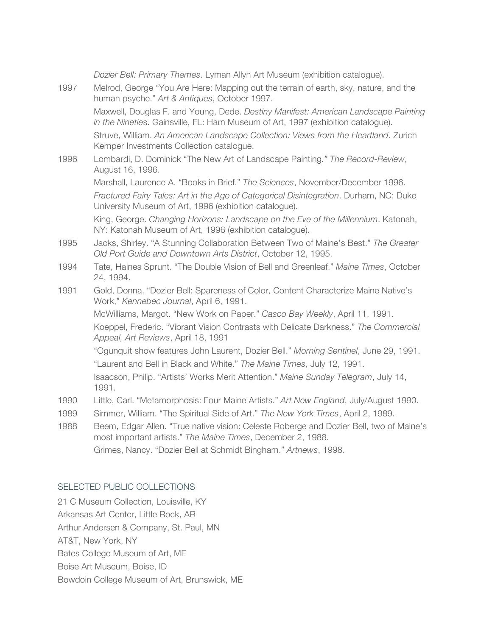|      | Dozier Bell: Primary Themes. Lyman Allyn Art Museum (exhibition catalogue).                                                                                             |
|------|-------------------------------------------------------------------------------------------------------------------------------------------------------------------------|
| 1997 | Melrod, George "You Are Here: Mapping out the terrain of earth, sky, nature, and the<br>human psyche." Art & Antiques, October 1997.                                    |
|      | Maxwell, Douglas F. and Young, Dede. Destiny Manifest: American Landscape Painting<br>in the Nineties. Gainsville, FL: Harn Museum of Art, 1997 (exhibition catalogue). |
|      | Struve, William. An American Landscape Collection: Views from the Heartland. Zurich<br>Kemper Investments Collection catalogue.                                         |
| 1996 | Lombardi, D. Dominick "The New Art of Landscape Painting." The Record-Review,<br>August 16, 1996.                                                                       |
|      | Marshall, Laurence A. "Books in Brief." The Sciences, November/December 1996.                                                                                           |
|      | Fractured Fairy Tales: Art in the Age of Categorical Disintegration. Durham, NC: Duke<br>University Museum of Art, 1996 (exhibition catalogue).                         |
|      | King, George. Changing Horizons: Landscape on the Eve of the Millennium. Katonah,<br>NY: Katonah Museum of Art, 1996 (exhibition catalogue).                            |
| 1995 | Jacks, Shirley. "A Stunning Collaboration Between Two of Maine's Best." The Greater<br>Old Port Guide and Downtown Arts District, October 12, 1995.                     |
| 1994 | Tate, Haines Sprunt. "The Double Vision of Bell and Greenleaf." Maine Times, October<br>24, 1994.                                                                       |
| 1991 | Gold, Donna. "Dozier Bell: Spareness of Color, Content Characterize Maine Native's<br>Work," Kennebec Journal, April 6, 1991.                                           |
|      | McWilliams, Margot. "New Work on Paper." Casco Bay Weekly, April 11, 1991.                                                                                              |
|      | Koeppel, Frederic. "Vibrant Vision Contrasts with Delicate Darkness." The Commercial<br>Appeal, Art Reviews, April 18, 1991                                             |
|      | "Ogunquit show features John Laurent, Dozier Bell." Morning Sentinel, June 29, 1991.                                                                                    |
|      | "Laurent and Bell in Black and White." The Maine Times, July 12, 1991.                                                                                                  |
|      | Isaacson, Philip. "Artists' Works Merit Attention." Maine Sunday Telegram, July 14,<br>1991.                                                                            |
| 1990 | Little, Carl. "Metamorphosis: Four Maine Artists." Art New England, July/August 1990.                                                                                   |
| 1989 | Simmer, William. "The Spiritual Side of Art." The New York Times, April 2, 1989.                                                                                        |
| 1988 | Beem, Edgar Allen. "True native vision: Celeste Roberge and Dozier Bell, two of Maine's<br>most important artists." The Maine Times, December 2, 1988.                  |

# Grimes, Nancy. "Dozier Bell at Schmidt Bingham." *Artnews*, 1998.

### SELECTED PUBLIC COLLECTIONS

21 C Museum Collection, Louisville, KY Arkansas Art Center, Little Rock, AR Arthur Andersen & Company, St. Paul, MN AT&T, New York, NY Bates College Museum of Art, ME Boise Art Museum, Boise, ID Bowdoin College Museum of Art, Brunswick, ME